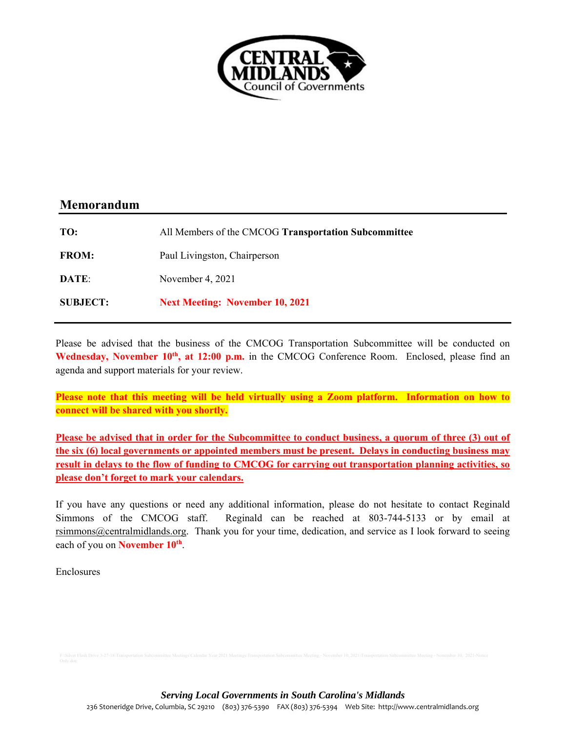

# **Memorandum**

| TO:             | All Members of the CMCOG Transportation Subcommittee |
|-----------------|------------------------------------------------------|
| <b>FROM:</b>    | Paul Livingston, Chairperson                         |
| DATE:           | November 4, 2021                                     |
| <b>SUBJECT:</b> | <b>Next Meeting: November 10, 2021</b>               |

Please be advised that the business of the CMCOG Transportation Subcommittee will be conducted on Wednesday, November 10<sup>th</sup>, at 12:00 p.m. in the CMCOG Conference Room. Enclosed, please find an agenda and support materials for your review.

**Please note that this meeting will be held virtually using a Zoom platform. Information on how to connect will be shared with you shortly.** 

Please be advised that in order for the Subcommittee to conduct business, a quorum of three (3) out of **the six (6) local governments or appointed members must be present. Delays in conducting business may result in delays to the flow of funding to CMCOG for carrying out transportation planning activities, so please don't forget to mark your calendars.** 

If you have any questions or need any additional information, please do not hesitate to contact Reginald Simmons of the CMCOG staff. Reginald can be reached at 803-744-5133 or by email at rsimmons@centralmidlands.org. Thank you for your time, dedication, and service as I look forward to seeing each of you on **November 10th**.

Enclosures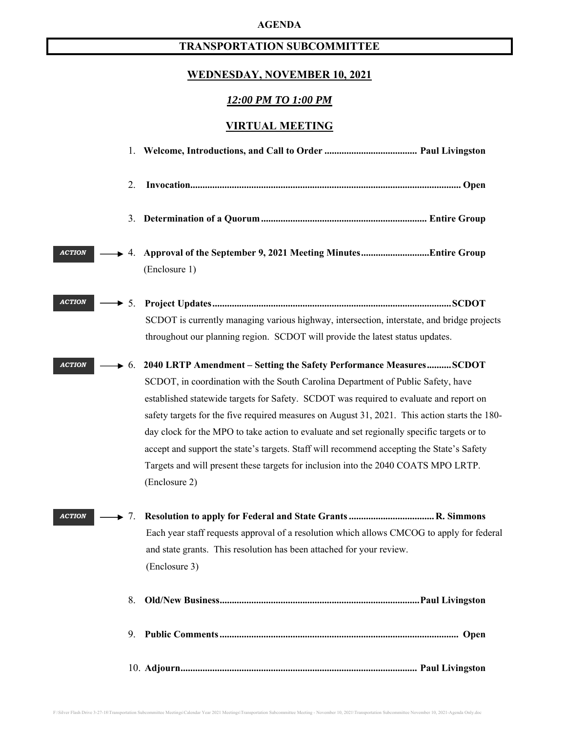#### **AGENDA**

# **TRANSPORTATION SUBCOMMITTEE**

# **WEDNESDAY, NOVEMBER 10, 2021**

#### *12:00 PM TO 1:00 PM*

## **VIRTUAL MEETING**

|               | 2.               |                                                                                                                                                                                                                                                                                                                                                                                                                                                                                                                                                                                                                                                                      |
|---------------|------------------|----------------------------------------------------------------------------------------------------------------------------------------------------------------------------------------------------------------------------------------------------------------------------------------------------------------------------------------------------------------------------------------------------------------------------------------------------------------------------------------------------------------------------------------------------------------------------------------------------------------------------------------------------------------------|
|               |                  |                                                                                                                                                                                                                                                                                                                                                                                                                                                                                                                                                                                                                                                                      |
| <b>ACTION</b> |                  | (Enclosure 1)                                                                                                                                                                                                                                                                                                                                                                                                                                                                                                                                                                                                                                                        |
| <b>ACTION</b> | $\rightarrow$ 5. | SCDOT is currently managing various highway, intersection, interstate, and bridge projects<br>throughout our planning region. SCDOT will provide the latest status updates.                                                                                                                                                                                                                                                                                                                                                                                                                                                                                          |
| <b>ACTION</b> |                  | $\rightarrow$ 6. 2040 LRTP Amendment – Setting the Safety Performance MeasuresSCDOT<br>SCDOT, in coordination with the South Carolina Department of Public Safety, have<br>established statewide targets for Safety. SCDOT was required to evaluate and report on<br>safety targets for the five required measures on August 31, 2021. This action starts the 180-<br>day clock for the MPO to take action to evaluate and set regionally specific targets or to<br>accept and support the state's targets. Staff will recommend accepting the State's Safety<br>Targets and will present these targets for inclusion into the 2040 COATS MPO LRTP.<br>(Enclosure 2) |
| <b>ACTION</b> | $\rightarrow$ 7. | Each year staff requests approval of a resolution which allows CMCOG to apply for federal<br>and state grants. This resolution has been attached for your review.<br>(Enclosure 3)                                                                                                                                                                                                                                                                                                                                                                                                                                                                                   |
|               | 8.               |                                                                                                                                                                                                                                                                                                                                                                                                                                                                                                                                                                                                                                                                      |
|               | 9.               |                                                                                                                                                                                                                                                                                                                                                                                                                                                                                                                                                                                                                                                                      |
|               |                  |                                                                                                                                                                                                                                                                                                                                                                                                                                                                                                                                                                                                                                                                      |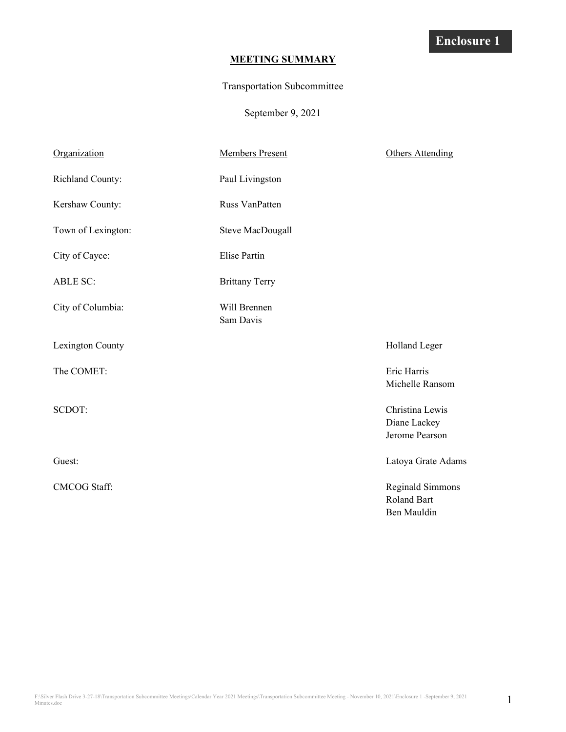## **MEETING SUMMARY**

#### Transportation Subcommittee

September 9, 2021

| Organization        | <b>Members Present</b>    | <b>Others Attending</b>                                      |
|---------------------|---------------------------|--------------------------------------------------------------|
| Richland County:    | Paul Livingston           |                                                              |
| Kershaw County:     | Russ VanPatten            |                                                              |
| Town of Lexington:  | <b>Steve MacDougall</b>   |                                                              |
| City of Cayce:      | <b>Elise Partin</b>       |                                                              |
| <b>ABLE SC:</b>     | <b>Brittany Terry</b>     |                                                              |
| City of Columbia:   | Will Brennen<br>Sam Davis |                                                              |
| Lexington County    |                           | Holland Leger                                                |
| The COMET:          |                           | Eric Harris<br>Michelle Ransom                               |
| SCDOT:              |                           | Christina Lewis<br>Diane Lackey<br>Jerome Pearson            |
| Guest:              |                           | Latoya Grate Adams                                           |
| <b>CMCOG Staff:</b> |                           | <b>Reginald Simmons</b><br><b>Roland Bart</b><br>Ben Mauldin |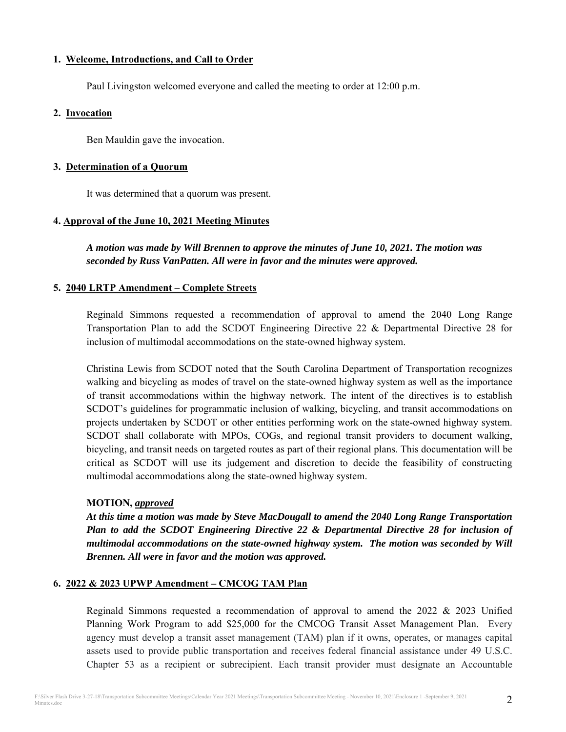#### **1. Welcome, Introductions, and Call to Order**

Paul Livingston welcomed everyone and called the meeting to order at 12:00 p.m.

#### **2. Invocation**

Ben Mauldin gave the invocation.

#### **3. Determination of a Quorum**

It was determined that a quorum was present.

## **4. Approval of the June 10, 2021 Meeting Minutes**

*A motion was made by Will Brennen to approve the minutes of June 10, 2021. The motion was seconded by Russ VanPatten. All were in favor and the minutes were approved.* 

## **5. 2040 LRTP Amendment – Complete Streets**

Reginald Simmons requested a recommendation of approval to amend the 2040 Long Range Transportation Plan to add the SCDOT Engineering Directive 22 & Departmental Directive 28 for inclusion of multimodal accommodations on the state-owned highway system.

Christina Lewis from SCDOT noted that the South Carolina Department of Transportation recognizes walking and bicycling as modes of travel on the state-owned highway system as well as the importance of transit accommodations within the highway network. The intent of the directives is to establish SCDOT's guidelines for programmatic inclusion of walking, bicycling, and transit accommodations on projects undertaken by SCDOT or other entities performing work on the state-owned highway system. SCDOT shall collaborate with MPOs, COGs, and regional transit providers to document walking, bicycling, and transit needs on targeted routes as part of their regional plans. This documentation will be critical as SCDOT will use its judgement and discretion to decide the feasibility of constructing multimodal accommodations along the state-owned highway system.

## **MOTION,** *approved*

*At this time a motion was made by Steve MacDougall to amend the 2040 Long Range Transportation Plan to add the SCDOT Engineering Directive 22 & Departmental Directive 28 for inclusion of multimodal accommodations on the state-owned highway system. The motion was seconded by Will Brennen. All were in favor and the motion was approved.* 

## **6. 2022 & 2023 UPWP Amendment – CMCOG TAM Plan**

Reginald Simmons requested a recommendation of approval to amend the 2022 & 2023 Unified Planning Work Program to add \$25,000 for the CMCOG Transit Asset Management Plan. Every agency must develop a transit asset management (TAM) plan if it owns, operates, or manages capital assets used to provide public transportation and receives federal financial assistance under 49 U.S.C. Chapter 53 as a recipient or subrecipient. Each transit provider must designate an Accountable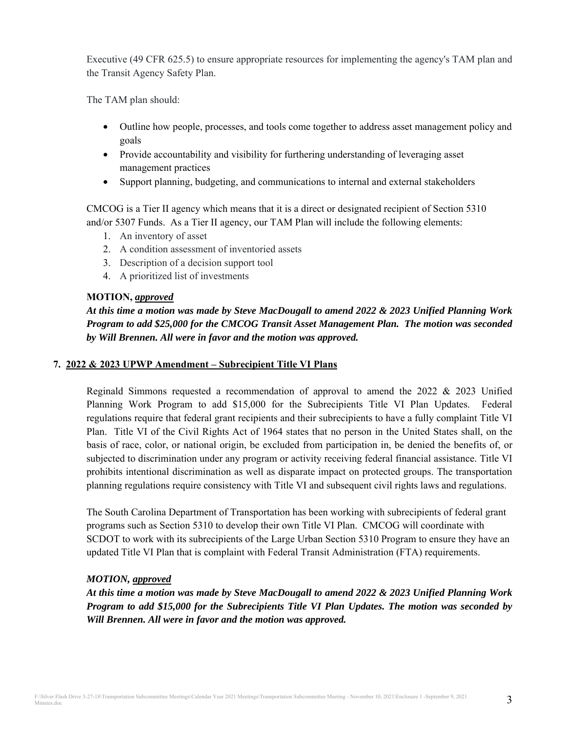Executive (49 CFR 625.5) to ensure appropriate resources for implementing the agency's TAM plan and the Transit Agency Safety Plan.

The TAM plan should:

- Outline how people, processes, and tools come together to address asset management policy and goals
- Provide accountability and visibility for furthering understanding of leveraging asset management practices
- Support planning, budgeting, and communications to internal and external stakeholders

CMCOG is a Tier II agency which means that it is a direct or designated recipient of Section 5310 and/or 5307 Funds. As a Tier II agency, our TAM Plan will include the following elements:

- 1. An inventory of asset
- 2. A condition assessment of inventoried assets
- 3. Description of a decision support tool
- 4. A prioritized list of investments

#### **MOTION,** *approved*

*At this time a motion was made by Steve MacDougall to amend 2022 & 2023 Unified Planning Work Program to add \$25,000 for the CMCOG Transit Asset Management Plan. The motion was seconded by Will Brennen. All were in favor and the motion was approved.* 

#### **7. 2022 & 2023 UPWP Amendment – Subrecipient Title VI Plans**

Reginald Simmons requested a recommendation of approval to amend the 2022 & 2023 Unified Planning Work Program to add \$15,000 for the Subrecipients Title VI Plan Updates. Federal regulations require that federal grant recipients and their subrecipients to have a fully complaint Title VI Plan. Title VI of the Civil Rights Act of 1964 states that no person in the United States shall, on the basis of race, color, or national origin, be excluded from participation in, be denied the benefits of, or subjected to discrimination under any program or activity receiving federal financial assistance. Title VI prohibits intentional discrimination as well as disparate impact on protected groups. The transportation planning regulations require consistency with Title VI and subsequent civil rights laws and regulations.

The South Carolina Department of Transportation has been working with subrecipients of federal grant programs such as Section 5310 to develop their own Title VI Plan. CMCOG will coordinate with SCDOT to work with its subrecipients of the Large Urban Section 5310 Program to ensure they have an updated Title VI Plan that is complaint with Federal Transit Administration (FTA) requirements.

## *MOTION, approved*

*At this time a motion was made by Steve MacDougall to amend 2022 & 2023 Unified Planning Work Program to add \$15,000 for the Subrecipients Title VI Plan Updates. The motion was seconded by Will Brennen. All were in favor and the motion was approved.*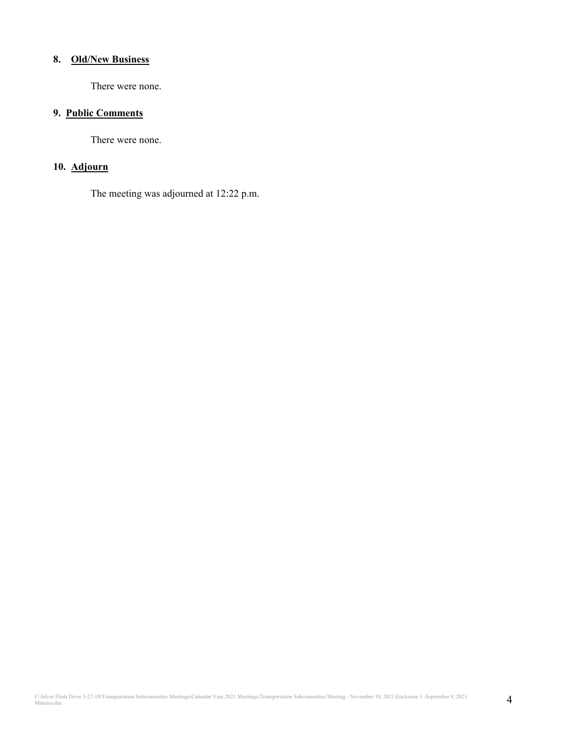#### **8. Old/New Business**

There were none.

#### **9. Public Comments**

There were none.

#### **10. Adjourn**

The meeting was adjourned at 12:22 p.m.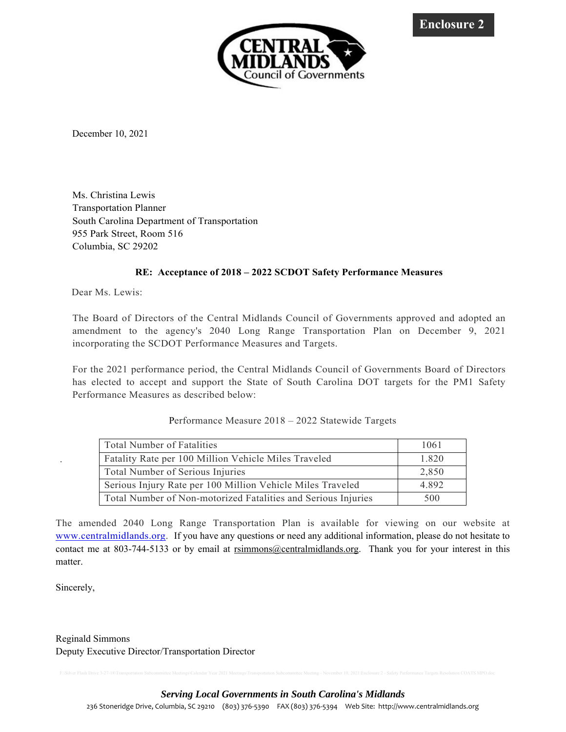

December 10, 2021

Ms. Christina Lewis Transportation Planner South Carolina Department of Transportation 955 Park Street, Room 516 Columbia, SC 29202

#### **RE: Acceptance of 2018 – 2022 SCDOT Safety Performance Measures**

Dear Ms. Lewis:

The Board of Directors of the Central Midlands Council of Governments approved and adopted an amendment to the agency's 2040 Long Range Transportation Plan on December 9, 2021 incorporating the SCDOT Performance Measures and Targets.

For the 2021 performance period, the Central Midlands Council of Governments Board of Directors has elected to accept and support the State of South Carolina DOT targets for the PM1 Safety Performance Measures as described below:

| <b>Total Number of Fatalities</b>                             | 1061  |
|---------------------------------------------------------------|-------|
| Fatality Rate per 100 Million Vehicle Miles Traveled          | 1.820 |
| Total Number of Serious Injuries                              | 2,850 |
| Serious Injury Rate per 100 Million Vehicle Miles Traveled    | 4.892 |
| Total Number of Non-motorized Fatalities and Serious Injuries | 500   |

Performance Measure 2018 – 2022 Statewide Targets

The amended 2040 Long Range Transportation Plan is available for viewing on our website at www.centralmidlands.org. If you have any questions or need any additional information, please do not hesitate to contact me at 803-744-5133 or by email at rsimmons@centralmidlands.org. Thank you for your interest in this matter.

Sincerely,

.

Reginald Simmons Deputy Executive Director/Transportation Director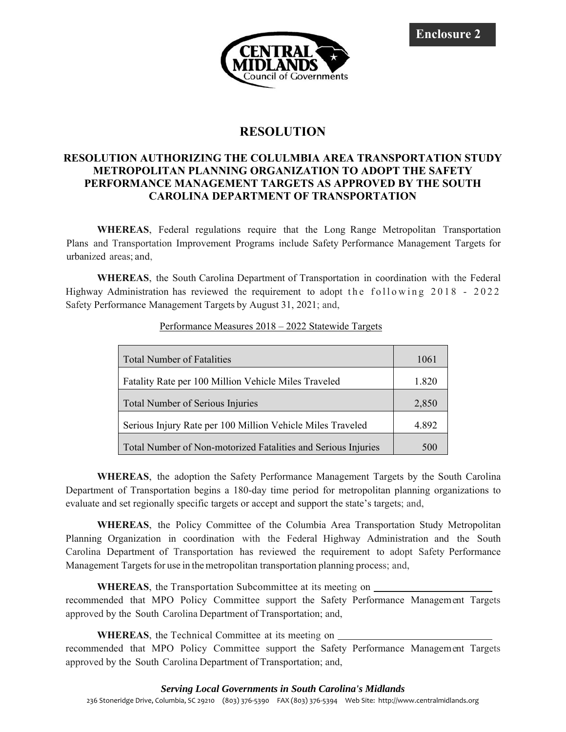**Enclosure 2** 



# **RESOLUTION**

## **RESOLUTION AUTHORIZING THE COLULMBIA AREA TRANSPORTATION STUDY METROPOLITAN PLANNING ORGANIZATION TO ADOPT THE SAFETY PERFORMANCE MANAGEMENT TARGETS AS APPROVED BY THE SOUTH CAROLINA DEPARTMENT OF TRANSPORTATION**

**WHEREAS**, Federal regulations require that the Long Range Metropolitan Transportation Plans and Transportation Improvement Programs include Safety Performance Management Targets for urbanized areas; and,

**WHEREAS**, the South Carolina Department of Transportation in coordination with the Federal Highway Administration has reviewed the requirement to adopt the following  $2018 - 2022$ Safety Performance Management Targets by August 31, 2021; and,

| <b>Total Number of Fatalities</b>                             | 1061  |
|---------------------------------------------------------------|-------|
| Fatality Rate per 100 Million Vehicle Miles Traveled          | 1.820 |
| Total Number of Serious Injuries                              |       |
| Serious Injury Rate per 100 Million Vehicle Miles Traveled    | 4.892 |
| Total Number of Non-motorized Fatalities and Serious Injuries | 500   |

#### Performance Measures 2018 – 2022 Statewide Targets

**WHEREAS**, the adoption the Safety Performance Management Targets by the South Carolina Department of Transportation begins a 180-day time period for metropolitan planning organizations to evaluate and set regionally specific targets or accept and support the state's targets; and,

**WHEREAS**, the Policy Committee of the Columbia Area Transportation Study Metropolitan Planning Organization in coordination with the Federal Highway Administration and the South Carolina Department of Transportation has reviewed the requirement to adopt Safety Performance Management Targets for use in the metropolitan transportation planning process; and,

**WHEREAS**, the Transportation Subcommittee at its meeting on

recommended that MPO Policy Committee support the Safety Performance Management Targets approved by the South Carolina Department of Transportation; and,

**WHEREAS**, the Technical Committee at its meeting on

recommended that MPO Policy Committee support the Safety Performance Management Targets approved by the South Carolina Department of Transportation; and,

#### *Serving Local Governments in South Carolina's Midlands*

236 Stoneridge Drive, Columbia, SC 29210 (803) 376-5390 FAX (803) 376-5394 Web Site: http://www.centralmidlands.org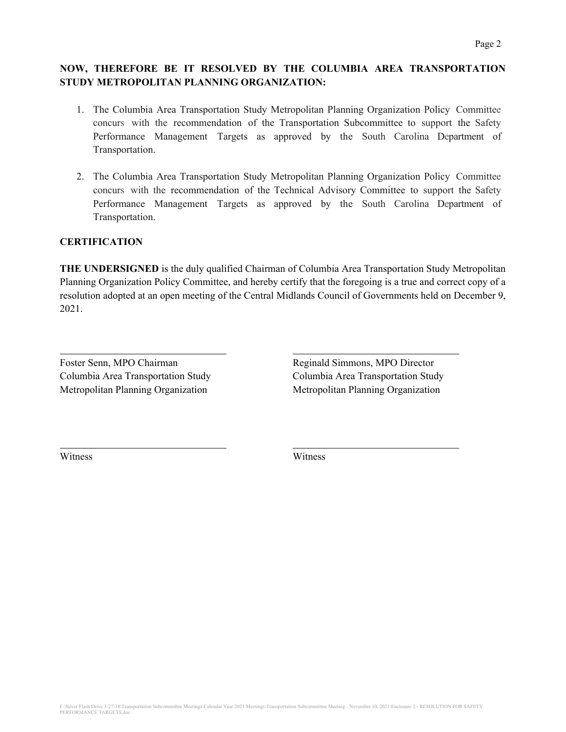## **NOW, THEREFORE BE IT RESOLVED BY THE COLUMBIA AREA TRANSPORTATION STUDY METROPOLITAN PLANNING ORGANIZATION:**

- 1. The Columbia Area Transportation Study Metropolitan Planning Organization Policy Committee concurs with the recommendation of the Transportation Subcommittee to support the Safety Performance Management Targets as approved by the South Carolina Department of Transportation.
- 2. The Columbia Area Transportation Study Metropolitan Planning Organization Policy Committee concurs with the recommendation of the Technical Advisory Committee to support the Safety Performance Management Targets as approved by the South Carolina Department of Transportation.

## **CERTIFICATION**

**THE UNDERSIGNED** is the duly qualified Chairman of Columbia Area Transportation Study Metropolitan Planning Organization Policy Committee, and hereby certify that the foregoing is a true and correct copy of a resolution adopted at an open meeting of the Central Midlands Council of Governments held on December 9, 2021.

Foster Senn, MPO Chairman **Reginald Simmons, MPO Director** Columbia Area Transportation Study Columbia Area Transportation Study Metropolitan Planning Organization Metropolitan Planning Organization

Witness Witness

 $\overline{a}$ 

 $\overline{a}$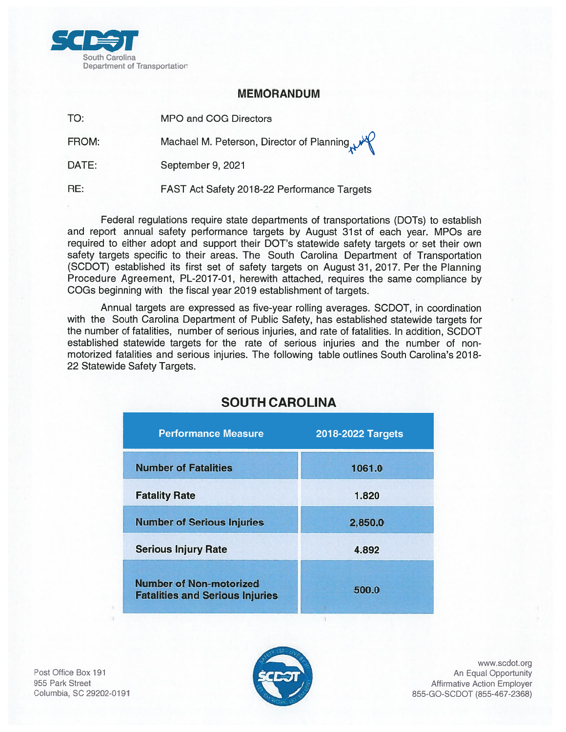

## **MEMORANDUM**

TO: **MPO and COG Directors** 

FROM: Machael M. Peterson, Director of Planning

DATE: September 9, 2021

RE: FAST Act Safety 2018-22 Performance Targets

Federal regulations require state departments of transportations (DOTs) to establish and report annual safety performance targets by August 31st of each year. MPOs are required to either adopt and support their DOT's statewide safety targets or set their own safety targets specific to their areas. The South Carolina Department of Transportation (SCDOT) established its first set of safety targets on August 31, 2017. Per the Planning Procedure Agreement, PL-2017-01, herewith attached, requires the same compliance by COGs beginning with the fiscal year 2019 establishment of targets.

Annual targets are expressed as five-year rolling averages. SCDOT, in coordination with the South Carolina Department of Public Safety, has established statewide targets for the number of fatalities, number of serious injuries, and rate of fatalities. In addition, SCDOT established statewide targets for the rate of serious injuries and the number of nonmotorized fatalities and serious injuries. The following table outlines South Carolina's 2018-22 Statewide Safety Targets.

| <b>Performance Measure</b>                                               | 2018-2022 Targets |  |
|--------------------------------------------------------------------------|-------------------|--|
| <b>Number of Fatalities</b>                                              | 1061.0            |  |
| <b>Fatality Rate</b>                                                     | 1.820             |  |
| <b>Number of Serious Injuries</b>                                        | 2,850.0           |  |
| <b>Serious Injury Rate</b>                                               | 4.892             |  |
| <b>Number of Non-motorized</b><br><b>Fatalities and Serious Injuries</b> | 500.0             |  |

# **SOUTH CAROLINA**

Post Office Box 191 955 Park Street Columbia, SC 29202-0191



www.scdot.org An Equal Opportunity **Affirmative Action Employer** 855-GO-SCDOT (855-467-2368)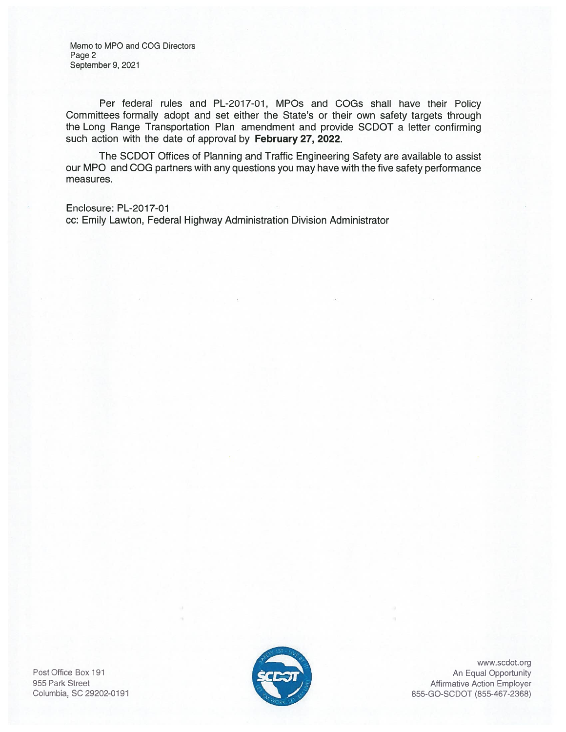Memo to MPO and COG Directors Page 2 September 9, 2021

Per federal rules and PL-2017-01, MPOs and COGs shall have their Policy Committees formally adopt and set either the State's or their own safety targets through the Long Range Transportation Plan amendment and provide SCDOT a letter confirming such action with the date of approval by February 27, 2022.

The SCDOT Offices of Planning and Traffic Engineering Safety are available to assist our MPO and COG partners with any questions you may have with the five safety performance measures.

Enclosure: PL-2017-01 cc: Emily Lawton, Federal Highway Administration Division Administrator

Post Office Box 191 955 Park Street Columbia, SC 29202-0191



www.scdot.org An Equal Opportunity **Affirmative Action Employer** 855-GO-SCDOT (855-467-2368)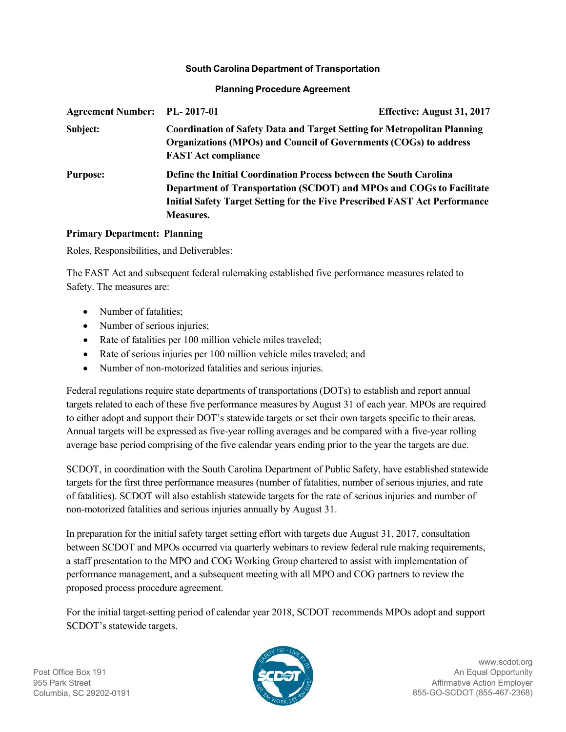#### **South Carolina Department of Transportation**

#### **Planning Procedure Agreement**

| Agreement Number: PL-2017-01 |                                                                                                                                                                                                                                                            | Effective: August 31, 2017 |
|------------------------------|------------------------------------------------------------------------------------------------------------------------------------------------------------------------------------------------------------------------------------------------------------|----------------------------|
| Subject:                     | <b>Coordination of Safety Data and Target Setting for Metropolitan Planning</b><br>Organizations (MPOs) and Council of Governments (COGs) to address<br><b>FAST Act compliance</b>                                                                         |                            |
| <b>Purpose:</b>              | <b>Define the Initial Coordination Process between the South Carolina</b><br>Department of Transportation (SCDOT) and MPOs and COGs to Facilitate<br><b>Initial Safety Target Setting for the Five Prescribed FAST Act Performance</b><br><b>Measures.</b> |                            |

## **Primary Department: Planning**

Roles, Responsibilities, and Deliverables:

The FAST Act and subsequent federal rulemaking established five performance measures related to Safety. The measures are:

- Number of fatalities;
- Number of serious injuries;
- Rate of fatalities per 100 million vehicle miles traveled;
- Rate of serious injuries per 100 million vehicle miles traveled; and
- Number of non-motorized fatalities and serious injuries.

Federal regulations require state departments of transportations (DOTs) to establish and report annual targets related to each of these five performance measures by August 31 of each year. MPOs are required to either adopt and support their DOT's statewide targets or set their own targets specific to their areas. Annual targets will be expressed as five-year rolling averages and be compared with a five-year rolling average base period comprising of the five calendar years ending prior to the year the targets are due.

SCDOT, in coordination with the South Carolina Department of Public Safety, have established statewide targets for the first three performance measures (number of fatalities, number of serious injuries, and rate of fatalities). SCDOT will also establish statewide targets for the rate of serious injuries and number of non-motorized fatalities and serious injuries annually by August 31.

In preparation for the initial safety target setting effort with targets due August 31, 2017, consultation between SCDOT and MPOs occurred via quarterly webinars to review federal rule making requirements, a staff presentation to the MPO and COG Working Group chartered to assist with implementation of performance management, and a subsequent meeting with all MPO and COG partners to review the proposed process procedure agreement.

For the initial target-setting period of calendar year 2018, SCDOT recommends MPOs adopt and support SCDOT's statewide targets.

Post Office Box 191 955 Park Street Columbia, SC 29202-0191



[www.scdot.org](http://www.scdot.org/) An Equal Opportunity Affirmative Action Employer 855-GO-SCDOT (855-467-2368)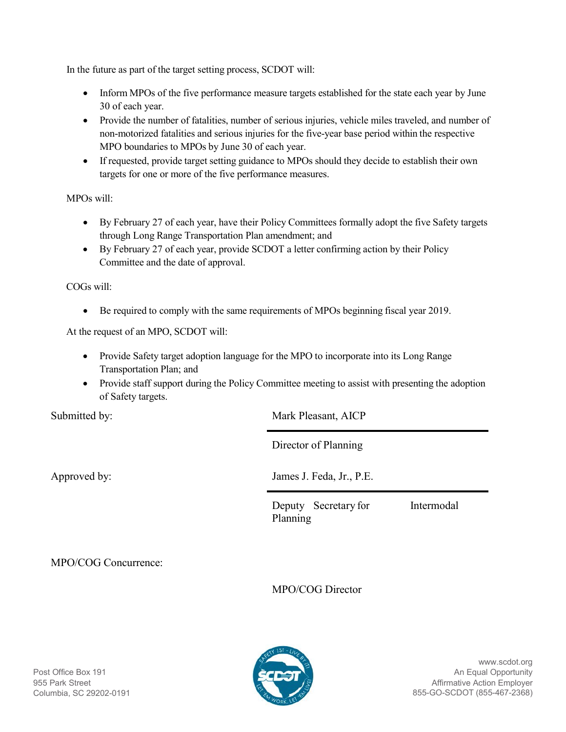In the future as part of the target setting process, SCDOT will:

- Inform MPOs of the five performance measure targets established for the state each year by June 30 of each year.
- Provide the number of fatalities, number of serious injuries, vehicle miles traveled, and number of non-motorized fatalities and serious injuries for the five-year base period within the respective MPO boundaries to MPOs by June 30 of each year.
- If requested, provide target setting guidance to MPOs should they decide to establish their own targets for one or more of the five performance measures.

MPOs will:

- By February 27 of each year, have their Policy Committees formally adopt the five Safety targets through Long Range Transportation Plan amendment; and
- By February 27 of each year, provide SCDOT a letter confirming action by their Policy Committee and the date of approval.

COGs will:

• Be required to comply with the same requirements of MPOs beginning fiscal year 2019.

At the request of an MPO, SCDOT will:

- Provide Safety target adoption language for the MPO to incorporate into its Long Range Transportation Plan; and
- Provide staff support during the Policy Committee meeting to assist with presenting the adoption of Safety targets.

Submitted by: Mark Pleasant, AICP

Director of Planning

Approved by: James J. Feda, Jr., P.E.

Deputy Secretary for Intermodal Planning

MPO/COG Concurrence:

MPO/COG Director

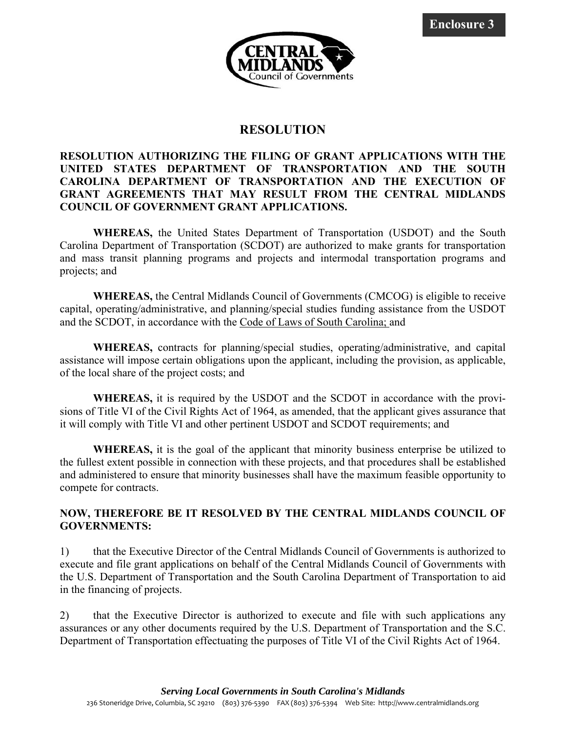

# **RESOLUTION**

## **RESOLUTION AUTHORIZING THE FILING OF GRANT APPLICATIONS WITH THE UNITED STATES DEPARTMENT OF TRANSPORTATION AND THE SOUTH CAROLINA DEPARTMENT OF TRANSPORTATION AND THE EXECUTION OF GRANT AGREEMENTS THAT MAY RESULT FROM THE CENTRAL MIDLANDS COUNCIL OF GOVERNMENT GRANT APPLICATIONS.**

 **WHEREAS,** the United States Department of Transportation (USDOT) and the South Carolina Department of Transportation (SCDOT) are authorized to make grants for transportation and mass transit planning programs and projects and intermodal transportation programs and projects; and

 **WHEREAS,** the Central Midlands Council of Governments (CMCOG) is eligible to receive capital, operating/administrative, and planning/special studies funding assistance from the USDOT and the SCDOT, in accordance with the Code of Laws of South Carolina; and

 **WHEREAS,** contracts for planning/special studies, operating/administrative, and capital assistance will impose certain obligations upon the applicant, including the provision, as applicable, of the local share of the project costs; and

 **WHEREAS,** it is required by the USDOT and the SCDOT in accordance with the provisions of Title VI of the Civil Rights Act of 1964, as amended, that the applicant gives assurance that it will comply with Title VI and other pertinent USDOT and SCDOT requirements; and

 **WHEREAS,** it is the goal of the applicant that minority business enterprise be utilized to the fullest extent possible in connection with these projects, and that procedures shall be established and administered to ensure that minority businesses shall have the maximum feasible opportunity to compete for contracts.

## **NOW, THEREFORE BE IT RESOLVED BY THE CENTRAL MIDLANDS COUNCIL OF GOVERNMENTS:**

1) that the Executive Director of the Central Midlands Council of Governments is authorized to execute and file grant applications on behalf of the Central Midlands Council of Governments with the U.S. Department of Transportation and the South Carolina Department of Transportation to aid in the financing of projects.

2) that the Executive Director is authorized to execute and file with such applications any assurances or any other documents required by the U.S. Department of Transportation and the S.C. Department of Transportation effectuating the purposes of Title VI of the Civil Rights Act of 1964.